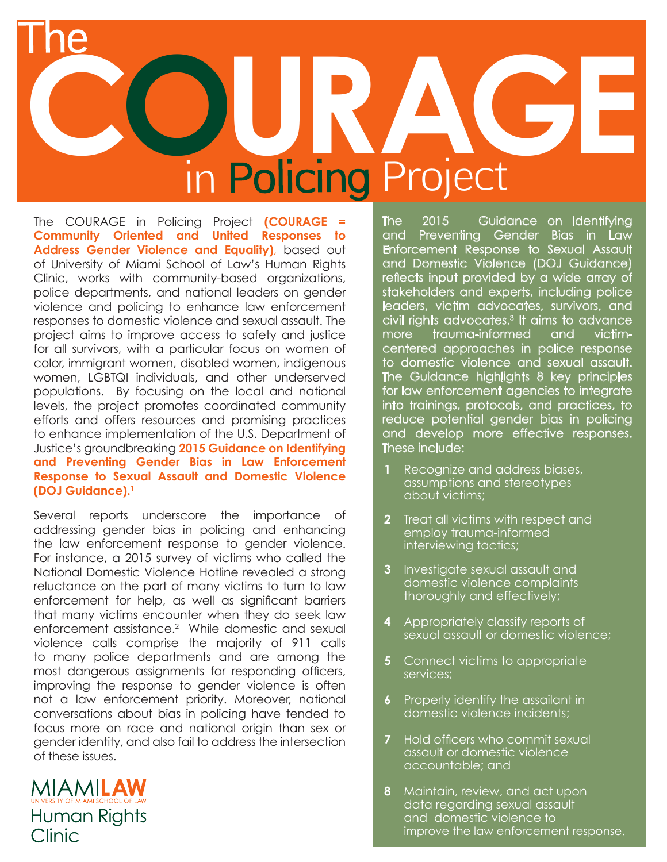## **COURAGE** in Policing Project The

The COURAGE in Policing Project **(COURAGE = Community Oriented and United Responses to Address Gender Violence and Equality)**, based out of University of Miami School of Law's Human Rights Clinic, works with community-based organizations, police departments, and national leaders on gender violence and policing to enhance law enforcement responses to domestic violence and sexual assault. The project aims to improve access to safety and justice for all survivors, with a particular focus on women of color, immigrant women, disabled women, indigenous women, LGBTQI individuals, and other underserved populations. By focusing on the local and national levels, the project promotes coordinated community efforts and offers resources and promising practices to enhance implementation of the U.S. Department of Justice's groundbreaking **2015 Guidance on Identifying and Preventing Gender Bias in Law Enforcement Response to Sexual Assault and Domestic Violence (DOJ Guidance).1**

Several reports underscore the importance of addressing gender bias in policing and enhancing the law enforcement response to gender violence. For instance, a 2015 survey of victims who called the National Domestic Violence Hotline revealed a strong reluctance on the part of many victims to turn to law enforcement for help, as well as significant barriers that many victims encounter when they do seek law enforcement assistance.2 While domestic and sexual violence calls comprise the majority of 911 calls to many police departments and are among the most dangerous assignments for responding officers, improving the response to gender violence is often not a law enforcement priority. Moreover, national conversations about bias in policing have tended to focus more on race and national origin than sex or gender identity, and also fail to address the intersection of these issues.

MIAMILAW **Human Rights** Clinic

The 2015 Guidance on Identifying and Preventing Gender Bias in Law Enforcement Response to Sexual Assault and Domestic Violence (DOJ Guidance) reflects input provided by a wide array of stakeholders and experts, including police leaders, victim advocates, survivors, and civil rights advocates.3 It aims to advance more trauma-informed and victimcentered approaches in police response to domestic violence and sexual assault. The Guidance highlights 8 key principles for law enforcement agencies to integrate into trainings, protocols, and practices, to reduce potential gender bias in policing and develop more effective responses. These include:

- **1** Recognize and address biases, assumptions and stereotypes about victims;
- **2** Treat all victims with respect and employ trauma-informed interviewing tactics;
- **3** Investigate sexual assault and domestic violence complaints thoroughly and effectively;
- **4** Appropriately classify reports of sexual assault or domestic violence;
- **5** Connect victims to appropriate services;
- **6** Properly identify the assailant in domestic violence incidents;
- **7** Hold officers who commit sexual assault or domestic violence accountable; and
- **8** Maintain, review, and act upon data regarding sexual assault and domestic violence to improve the law enforcement response.